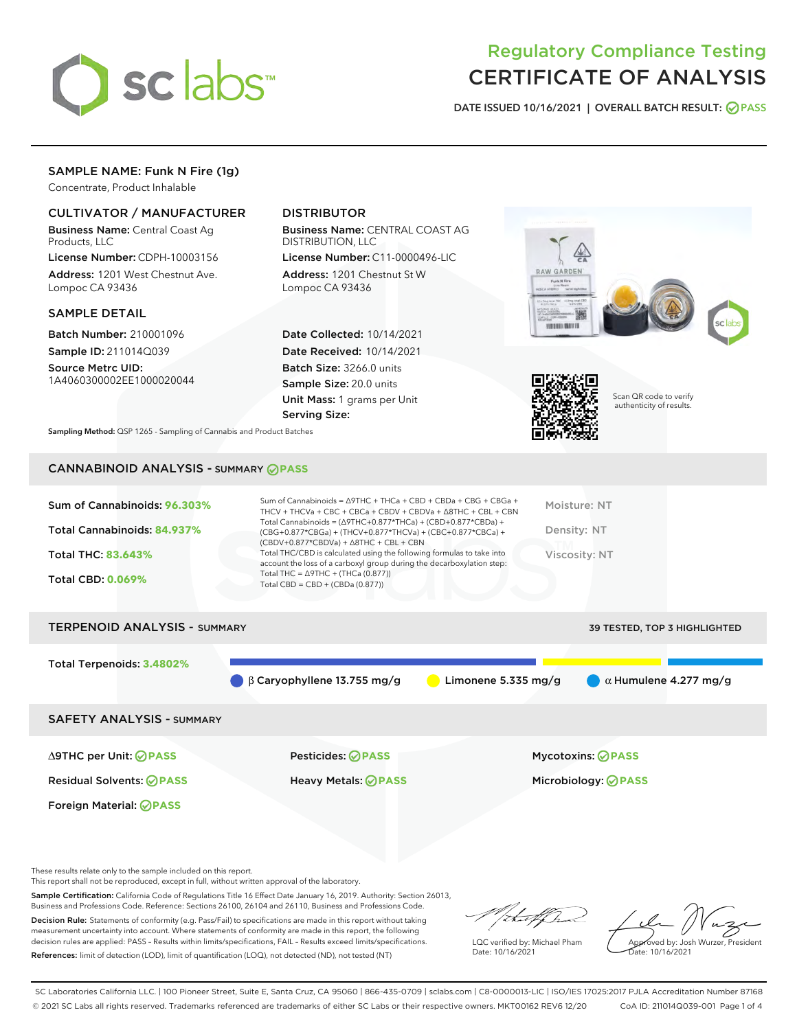

# Regulatory Compliance Testing CERTIFICATE OF ANALYSIS

DATE ISSUED 10/16/2021 | OVERALL BATCH RESULT: @ PASS

# SAMPLE NAME: Funk N Fire (1g)

Concentrate, Product Inhalable

# CULTIVATOR / MANUFACTURER

Business Name: Central Coast Ag Products, LLC

License Number: CDPH-10003156 Address: 1201 West Chestnut Ave. Lompoc CA 93436

#### SAMPLE DETAIL

Batch Number: 210001096 Sample ID: 211014Q039

Source Metrc UID: 1A4060300002EE1000020044

# DISTRIBUTOR

Business Name: CENTRAL COAST AG DISTRIBUTION, LLC

License Number: C11-0000496-LIC Address: 1201 Chestnut St W Lompoc CA 93436

Date Collected: 10/14/2021 Date Received: 10/14/2021 Batch Size: 3266.0 units Sample Size: 20.0 units Unit Mass: 1 grams per Unit Serving Size:





Scan QR code to verify authenticity of results.

Sampling Method: QSP 1265 - Sampling of Cannabis and Product Batches

# CANNABINOID ANALYSIS - SUMMARY **PASS**

| Total Cannabinoids = $(\Delta$ 9THC+0.877*THCa) + (CBD+0.877*CBDa) +<br>Total Cannabinoids: 84.937%<br>(CBG+0.877*CBGa) + (THCV+0.877*THCVa) + (CBC+0.877*CBCa) +<br>$(CBDV+0.877*CBDVa) + \Delta 8THC + CBL + CBN$<br>Total THC/CBD is calculated using the following formulas to take into<br><b>Total THC: 83.643%</b><br>account the loss of a carboxyl group during the decarboxylation step: | Density: NT   |
|----------------------------------------------------------------------------------------------------------------------------------------------------------------------------------------------------------------------------------------------------------------------------------------------------------------------------------------------------------------------------------------------------|---------------|
|                                                                                                                                                                                                                                                                                                                                                                                                    |               |
|                                                                                                                                                                                                                                                                                                                                                                                                    | Viscosity: NT |
| Total THC = $\triangle$ 9THC + (THCa (0.877))<br><b>Total CBD: 0.069%</b><br>Total CBD = $CBD + (CBDa (0.877))$                                                                                                                                                                                                                                                                                    |               |

| <b>TERPENOID ANALYSIS - SUMMARY</b> | 39 TESTED, TOP 3 HIGHLIGHTED                 |                     |                              |
|-------------------------------------|----------------------------------------------|---------------------|------------------------------|
| Total Terpenoids: 3.4802%           |                                              |                     |                              |
|                                     | $\bigcirc$ $\beta$ Caryophyllene 13.755 mg/g | Limonene 5.335 mg/g | $\alpha$ Humulene 4.277 mg/g |
| <b>SAFETY ANALYSIS - SUMMARY</b>    |                                              |                     |                              |
|                                     |                                              |                     |                              |

Foreign Material: **PASS**

∆9THC per Unit: **PASS** Pesticides: **PASS** Mycotoxins: **PASS**

Residual Solvents: **PASS** Heavy Metals: **PASS** Microbiology: **PASS**

These results relate only to the sample included on this report.

This report shall not be reproduced, except in full, without written approval of the laboratory.

Sample Certification: California Code of Regulations Title 16 Effect Date January 16, 2019. Authority: Section 26013, Business and Professions Code. Reference: Sections 26100, 26104 and 26110, Business and Professions Code.

Decision Rule: Statements of conformity (e.g. Pass/Fail) to specifications are made in this report without taking measurement uncertainty into account. Where statements of conformity are made in this report, the following decision rules are applied: PASS – Results within limits/specifications, FAIL – Results exceed limits/specifications. References: limit of detection (LOD), limit of quantification (LOQ), not detected (ND), not tested (NT)

that f In

LQC verified by: Michael Pham Date: 10/16/2021

Approved by: Josh Wurzer, President ate: 10/16/2021

SC Laboratories California LLC. | 100 Pioneer Street, Suite E, Santa Cruz, CA 95060 | 866-435-0709 | sclabs.com | C8-0000013-LIC | ISO/IES 17025:2017 PJLA Accreditation Number 87168 © 2021 SC Labs all rights reserved. Trademarks referenced are trademarks of either SC Labs or their respective owners. MKT00162 REV6 12/20 CoA ID: 211014Q039-001 Page 1 of 4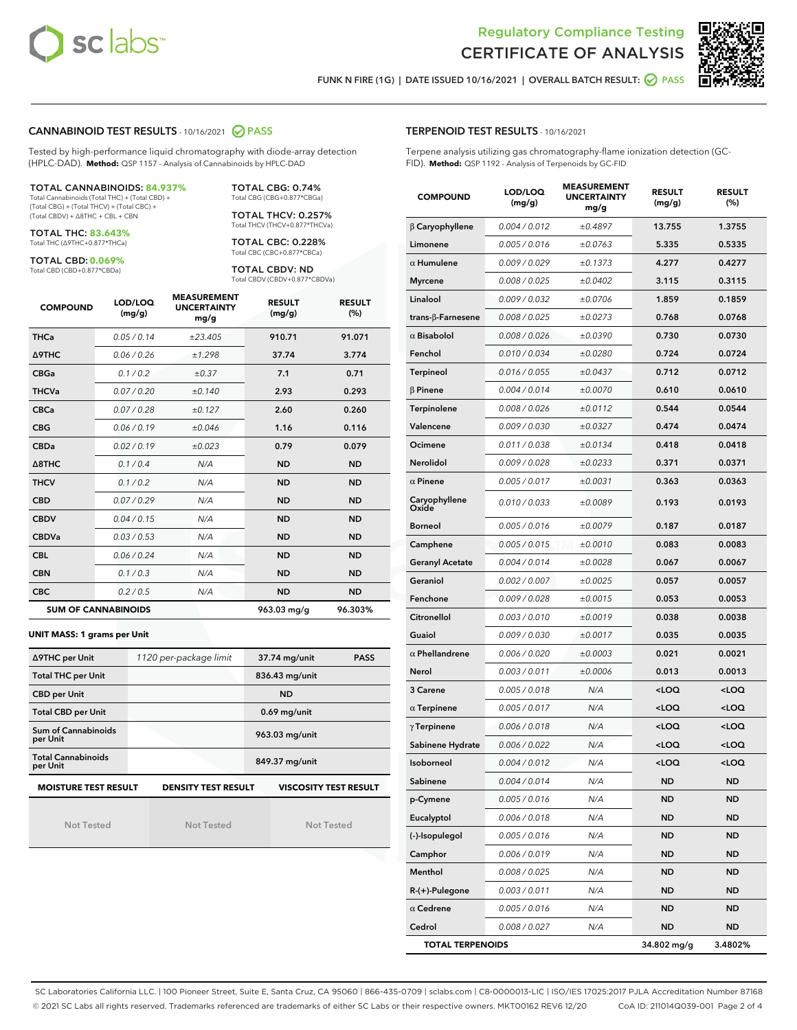



FUNK N FIRE (1G) | DATE ISSUED 10/16/2021 | OVERALL BATCH RESULT:  $\bigcirc$  PASS

#### CANNABINOID TEST RESULTS - 10/16/2021 2 PASS

Tested by high-performance liquid chromatography with diode-array detection (HPLC-DAD). **Method:** QSP 1157 - Analysis of Cannabinoids by HPLC-DAD

#### TOTAL CANNABINOIDS: **84.937%**

Total Cannabinoids (Total THC) + (Total CBD) + (Total CBG) + (Total THCV) + (Total CBC) + (Total CBDV) + ∆8THC + CBL + CBN

TOTAL THC: **83.643%** Total THC (∆9THC+0.877\*THCa)

TOTAL CBD: **0.069%**

Total CBD (CBD+0.877\*CBDa)

TOTAL CBG: 0.74% Total CBG (CBG+0.877\*CBGa)

TOTAL THCV: 0.257% Total THCV (THCV+0.877\*THCVa)

TOTAL CBC: 0.228% Total CBC (CBC+0.877\*CBCa)

TOTAL CBDV: ND Total CBDV (CBDV+0.877\*CBDVa)

| <b>COMPOUND</b>  | LOD/LOQ<br>(mg/g)          | <b>MEASUREMENT</b><br><b>UNCERTAINTY</b><br>mg/g | <b>RESULT</b><br>(mg/g) | <b>RESULT</b><br>(%) |
|------------------|----------------------------|--------------------------------------------------|-------------------------|----------------------|
| <b>THCa</b>      | 0.05 / 0.14                | ±23.405                                          | 910.71                  | 91.071               |
| Δ9THC            | 0.06 / 0.26                | ±1.298                                           | 37.74                   | 3.774                |
| <b>CBGa</b>      | 0.1 / 0.2                  | $\pm 0.37$                                       | 7.1                     | 0.71                 |
| <b>THCVa</b>     | 0.07/0.20                  | ±0.140                                           | 2.93                    | 0.293                |
| <b>CBCa</b>      | 0.07 / 0.28                | ±0.127                                           | 2.60                    | 0.260                |
| <b>CBG</b>       | 0.06/0.19                  | ±0.046                                           | 1.16                    | 0.116                |
| <b>CBDa</b>      | 0.02/0.19                  | ±0.023                                           | 0.79                    | 0.079                |
| $\triangle$ 8THC | 0.1/0.4                    | N/A                                              | <b>ND</b>               | <b>ND</b>            |
| <b>THCV</b>      | 0.1 / 0.2                  | N/A                                              | <b>ND</b>               | <b>ND</b>            |
| <b>CBD</b>       | 0.07/0.29                  | N/A                                              | <b>ND</b>               | <b>ND</b>            |
| <b>CBDV</b>      | 0.04 / 0.15                | N/A                                              | <b>ND</b>               | <b>ND</b>            |
| <b>CBDVa</b>     | 0.03 / 0.53                | N/A                                              | <b>ND</b>               | <b>ND</b>            |
| <b>CBL</b>       | 0.06 / 0.24                | N/A                                              | <b>ND</b>               | <b>ND</b>            |
| <b>CBN</b>       | 0.1 / 0.3                  | N/A                                              | <b>ND</b>               | <b>ND</b>            |
| <b>CBC</b>       | 0.2 / 0.5                  | N/A                                              | <b>ND</b>               | <b>ND</b>            |
|                  | <b>SUM OF CANNABINOIDS</b> |                                                  | 963.03 mg/g             | 96.303%              |

#### **UNIT MASS: 1 grams per Unit**

| ∆9THC per Unit                        | 1120 per-package limit     | 37.74 mg/unit<br><b>PASS</b> |
|---------------------------------------|----------------------------|------------------------------|
| <b>Total THC per Unit</b>             |                            | 836.43 mg/unit               |
| <b>CBD per Unit</b>                   |                            | <b>ND</b>                    |
| <b>Total CBD per Unit</b>             |                            | $0.69$ mg/unit               |
| Sum of Cannabinoids<br>per Unit       |                            | 963.03 mg/unit               |
| <b>Total Cannabinoids</b><br>per Unit |                            | 849.37 mg/unit               |
| <b>MOISTURE TEST RESULT</b>           | <b>DENSITY TEST RESULT</b> | <b>VISCOSITY TEST RESULT</b> |

Not Tested

Not Tested

Not Tested

#### TERPENOID TEST RESULTS - 10/16/2021

Terpene analysis utilizing gas chromatography-flame ionization detection (GC-FID). **Method:** QSP 1192 - Analysis of Terpenoids by GC-FID

| <b>COMPOUND</b>           | LOD/LOQ<br>(mg/g) | <b>MEASUREMENT</b><br><b>UNCERTAINTY</b><br>mg/g | <b>RESULT</b><br>(mg/g)                         | <b>RESULT</b><br>$(\%)$ |
|---------------------------|-------------------|--------------------------------------------------|-------------------------------------------------|-------------------------|
| $\beta$ Caryophyllene     | 0.004 / 0.012     | ±0.4897                                          | 13.755                                          | 1.3755                  |
| Limonene                  | 0.005 / 0.016     | ±0.0763                                          | 5.335                                           | 0.5335                  |
| $\alpha$ Humulene         | 0.009/0.029       | ±0.1373                                          | 4.277                                           | 0.4277                  |
| <b>Myrcene</b>            | 0.008 / 0.025     | ±0.0402                                          | 3.115                                           | 0.3115                  |
| Linalool                  | 0.009 / 0.032     | ±0.0706                                          | 1.859                                           | 0.1859                  |
| trans- $\beta$ -Farnesene | 0.008 / 0.025     | ±0.0273                                          | 0.768                                           | 0.0768                  |
| $\alpha$ Bisabolol        | 0.008 / 0.026     | ±0.0390                                          | 0.730                                           | 0.0730                  |
| Fenchol                   | 0.010 / 0.034     | ±0.0280                                          | 0.724                                           | 0.0724                  |
| Terpineol                 | 0.016 / 0.055     | ±0.0437                                          | 0.712                                           | 0.0712                  |
| $\beta$ Pinene            | 0.004 / 0.014     | ±0.0070                                          | 0.610                                           | 0.0610                  |
| Terpinolene               | 0.008 / 0.026     | ±0.0112                                          | 0.544                                           | 0.0544                  |
| Valencene                 | 0.009 / 0.030     | ±0.0327                                          | 0.474                                           | 0.0474                  |
| Ocimene                   | 0.011 / 0.038     | ±0.0134                                          | 0.418                                           | 0.0418                  |
| Nerolidol                 | 0.009 / 0.028     | ±0.0233                                          | 0.371                                           | 0.0371                  |
| $\alpha$ Pinene           | 0.005 / 0.017     | ±0.0031                                          | 0.363                                           | 0.0363                  |
| Caryophyllene<br>Oxide    | 0.010 / 0.033     | ±0.0089                                          | 0.193                                           | 0.0193                  |
| <b>Borneol</b>            | 0.005 / 0.016     | ±0.0079                                          | 0.187                                           | 0.0187                  |
| Camphene                  | 0.005 / 0.015     | ±0.0010                                          | 0.083                                           | 0.0083                  |
| <b>Geranyl Acetate</b>    | 0.004 / 0.014     | ±0.0028                                          | 0.067                                           | 0.0067                  |
| Geraniol                  | 0.002 / 0.007     | ±0.0025                                          | 0.057                                           | 0.0057                  |
| Fenchone                  | 0.009 / 0.028     | ±0.0015                                          | 0.053                                           | 0.0053                  |
| Citronellol               | 0.003 / 0.010     | ±0.0019                                          | 0.038                                           | 0.0038                  |
| Guaiol                    | 0.009 / 0.030     | ±0.0017                                          | 0.035                                           | 0.0035                  |
| $\alpha$ Phellandrene     | 0.006 / 0.020     | ±0.0003                                          | 0.021                                           | 0.0021                  |
| Nerol                     | 0.003 / 0.011     | ±0.0006                                          | 0.013                                           | 0.0013                  |
| 3 Carene                  | 0.005 / 0.018     | N/A                                              | <loq< th=""><th><loq< th=""></loq<></th></loq<> | <loq< th=""></loq<>     |
| $\alpha$ Terpinene        | 0.005 / 0.017     | N/A                                              | <loq< th=""><th><loq< th=""></loq<></th></loq<> | <loq< th=""></loq<>     |
| $\gamma$ Terpinene        | 0.006 / 0.018     | N/A                                              | <loq< th=""><th><loq< th=""></loq<></th></loq<> | <loq< th=""></loq<>     |
| Sabinene Hydrate          | 0.006 / 0.022     | N/A                                              | <loq< th=""><th><loq< th=""></loq<></th></loq<> | <loq< th=""></loq<>     |
| Isoborneol                | 0.004 / 0.012     | N/A                                              | <loq< th=""><th><loq< th=""></loq<></th></loq<> | <loq< th=""></loq<>     |
| Sabinene                  | 0.004 / 0.014     | N/A                                              | ND                                              | ND                      |
| p-Cymene                  | 0.005 / 0.016     | N/A                                              | <b>ND</b>                                       | <b>ND</b>               |
| Eucalyptol                | 0.006 / 0.018     | N/A                                              | ND                                              | <b>ND</b>               |
| (-)-Isopulegol            | 0.005 / 0.016     | N/A                                              | ND                                              | ND                      |
| Camphor                   | 0.006 / 0.019     | N/A                                              | ND                                              | ND                      |
| Menthol                   | 0.008 / 0.025     | N/A                                              | ND                                              | <b>ND</b>               |
| R-(+)-Pulegone            | 0.003 / 0.011     | N/A                                              | ND                                              | ND                      |
| $\alpha$ Cedrene          | 0.005 / 0.016     | N/A                                              | ND                                              | ND                      |
| Cedrol                    | 0.008 / 0.027     | N/A                                              | ND                                              | <b>ND</b>               |
| <b>TOTAL TERPENOIDS</b>   |                   |                                                  | 34.802 mg/g                                     | 3.4802%                 |

SC Laboratories California LLC. | 100 Pioneer Street, Suite E, Santa Cruz, CA 95060 | 866-435-0709 | sclabs.com | C8-0000013-LIC | ISO/IES 17025:2017 PJLA Accreditation Number 87168 © 2021 SC Labs all rights reserved. Trademarks referenced are trademarks of either SC Labs or their respective owners. MKT00162 REV6 12/20 CoA ID: 211014Q039-001 Page 2 of 4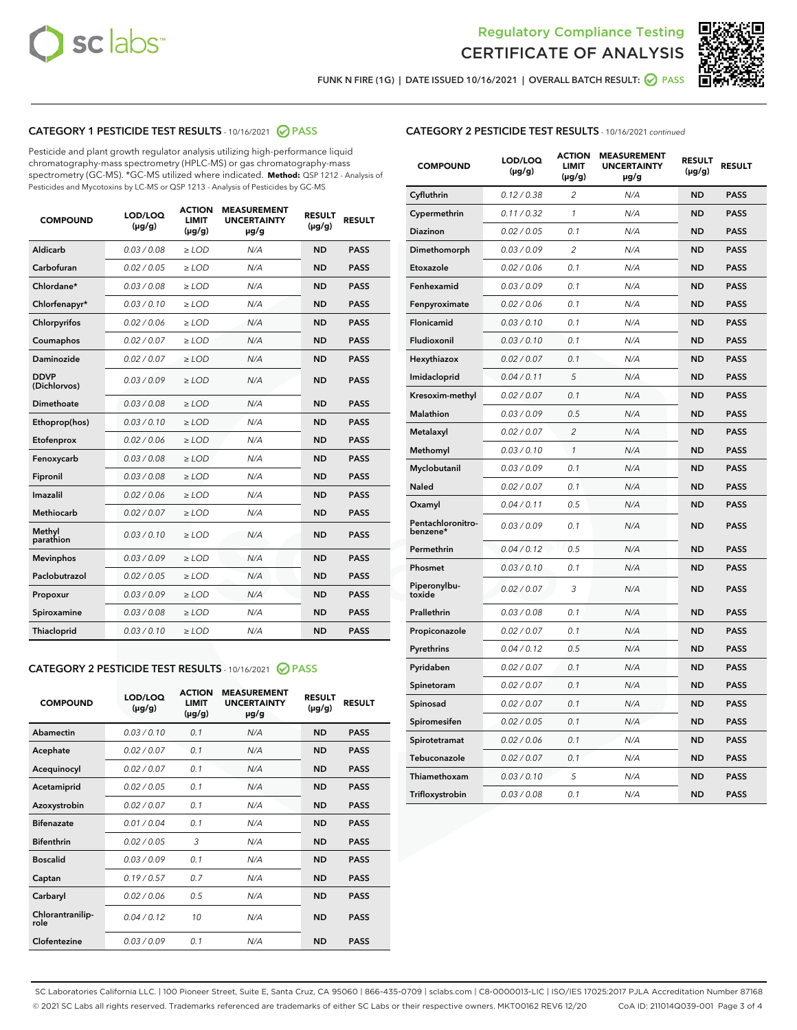



FUNK N FIRE (1G) | DATE ISSUED 10/16/2021 | OVERALL BATCH RESULT:  $\bigcirc$  PASS

# CATEGORY 1 PESTICIDE TEST RESULTS - 10/16/2021 2 PASS

Pesticide and plant growth regulator analysis utilizing high-performance liquid chromatography-mass spectrometry (HPLC-MS) or gas chromatography-mass spectrometry (GC-MS). \*GC-MS utilized where indicated. **Method:** QSP 1212 - Analysis of Pesticides and Mycotoxins by LC-MS or QSP 1213 - Analysis of Pesticides by GC-MS

| <b>COMPOUND</b>             | LOD/LOQ<br>$(\mu g/g)$ | <b>ACTION</b><br><b>LIMIT</b><br>$(\mu g/g)$ | <b>MEASUREMENT</b><br><b>UNCERTAINTY</b><br>$\mu$ g/g | <b>RESULT</b><br>$(\mu g/g)$ | <b>RESULT</b> |
|-----------------------------|------------------------|----------------------------------------------|-------------------------------------------------------|------------------------------|---------------|
| Aldicarb                    | 0.03 / 0.08            | $\ge$ LOD                                    | N/A                                                   | <b>ND</b>                    | <b>PASS</b>   |
| Carbofuran                  | 0.02 / 0.05            | $\ge$ LOD                                    | N/A                                                   | <b>ND</b>                    | <b>PASS</b>   |
| Chlordane*                  | 0.03 / 0.08            | $\ge$ LOD                                    | N/A                                                   | <b>ND</b>                    | <b>PASS</b>   |
| Chlorfenapyr*               | 0.03/0.10              | $\ge$ LOD                                    | N/A                                                   | <b>ND</b>                    | <b>PASS</b>   |
| Chlorpyrifos                | 0.02 / 0.06            | $\ge$ LOD                                    | N/A                                                   | <b>ND</b>                    | <b>PASS</b>   |
| Coumaphos                   | 0.02 / 0.07            | $\ge$ LOD                                    | N/A                                                   | <b>ND</b>                    | <b>PASS</b>   |
| Daminozide                  | 0.02 / 0.07            | $\ge$ LOD                                    | N/A                                                   | <b>ND</b>                    | <b>PASS</b>   |
| <b>DDVP</b><br>(Dichlorvos) | 0.03/0.09              | $>$ LOD                                      | N/A                                                   | <b>ND</b>                    | <b>PASS</b>   |
| Dimethoate                  | 0.03 / 0.08            | $\ge$ LOD                                    | N/A                                                   | <b>ND</b>                    | <b>PASS</b>   |
| Ethoprop(hos)               | 0.03/0.10              | $>$ LOD                                      | N/A                                                   | <b>ND</b>                    | <b>PASS</b>   |
| Etofenprox                  | 0.02 / 0.06            | $\ge$ LOD                                    | N/A                                                   | <b>ND</b>                    | <b>PASS</b>   |
| Fenoxycarb                  | 0.03 / 0.08            | $\ge$ LOD                                    | N/A                                                   | <b>ND</b>                    | <b>PASS</b>   |
| Fipronil                    | 0.03 / 0.08            | $\ge$ LOD                                    | N/A                                                   | <b>ND</b>                    | <b>PASS</b>   |
| Imazalil                    | 0.02 / 0.06            | $>$ LOD                                      | N/A                                                   | <b>ND</b>                    | <b>PASS</b>   |
| <b>Methiocarb</b>           | 0.02 / 0.07            | $\ge$ LOD                                    | N/A                                                   | <b>ND</b>                    | <b>PASS</b>   |
| Methyl<br>parathion         | 0.03/0.10              | $\ge$ LOD                                    | N/A                                                   | <b>ND</b>                    | <b>PASS</b>   |
| <b>Mevinphos</b>            | 0.03/0.09              | $\ge$ LOD                                    | N/A                                                   | <b>ND</b>                    | <b>PASS</b>   |
| Paclobutrazol               | 0.02 / 0.05            | $>$ LOD                                      | N/A                                                   | <b>ND</b>                    | <b>PASS</b>   |
| Propoxur                    | 0.03/0.09              | $\ge$ LOD                                    | N/A                                                   | <b>ND</b>                    | <b>PASS</b>   |
| Spiroxamine                 | 0.03 / 0.08            | $\ge$ LOD                                    | N/A                                                   | <b>ND</b>                    | <b>PASS</b>   |
| Thiacloprid                 | 0.03/0.10              | $\ge$ LOD                                    | N/A                                                   | <b>ND</b>                    | <b>PASS</b>   |

#### CATEGORY 2 PESTICIDE TEST RESULTS - 10/16/2021 @ PASS

| <b>COMPOUND</b>          | LOD/LOO<br>$(\mu g/g)$ | <b>ACTION</b><br>LIMIT<br>$(\mu g/g)$ | <b>MEASUREMENT</b><br><b>UNCERTAINTY</b><br>µg/g | <b>RESULT</b><br>$(\mu g/g)$ | <b>RESULT</b> |  |
|--------------------------|------------------------|---------------------------------------|--------------------------------------------------|------------------------------|---------------|--|
| Abamectin                | 0.03/0.10              | 0.1                                   | N/A                                              | <b>ND</b>                    | <b>PASS</b>   |  |
| Acephate                 | 0.02/0.07              | 0.1                                   | N/A                                              | <b>ND</b>                    | <b>PASS</b>   |  |
| Acequinocyl              | 0.02/0.07              | 0.1                                   | N/A                                              | <b>ND</b>                    | <b>PASS</b>   |  |
| Acetamiprid              | 0.02 / 0.05            | 0.1                                   | N/A                                              | <b>ND</b>                    | <b>PASS</b>   |  |
| Azoxystrobin             | 0.02/0.07              | 0.1                                   | N/A                                              | <b>ND</b>                    | <b>PASS</b>   |  |
| <b>Bifenazate</b>        | 0.01 / 0.04            | 0.1                                   | N/A                                              | <b>ND</b>                    | <b>PASS</b>   |  |
| <b>Bifenthrin</b>        | 0.02 / 0.05            | 3                                     | N/A                                              | <b>ND</b>                    | <b>PASS</b>   |  |
| <b>Boscalid</b>          | 0.03/0.09              | 0.1                                   | N/A                                              | <b>ND</b>                    | <b>PASS</b>   |  |
| Captan                   | 0.19/0.57              | 0.7                                   | N/A                                              | <b>ND</b>                    | <b>PASS</b>   |  |
| Carbaryl                 | 0.02/0.06              | 0.5                                   | N/A                                              | <b>ND</b>                    | <b>PASS</b>   |  |
| Chlorantranilip-<br>role | 0.04/0.12              | 10                                    | N/A                                              | <b>ND</b>                    | <b>PASS</b>   |  |
| Clofentezine             | 0.03/0.09              | 0.1                                   | N/A                                              | <b>ND</b>                    | <b>PASS</b>   |  |

| <b>COMPOUND</b>               | LOD/LOQ<br>(µg/g) | <b>ACTION</b><br>LIMIT<br>$(\mu g/g)$ | <b>MEASUREMENT</b><br><b>UNCERTAINTY</b><br>µg/g | <b>RESULT</b><br>(µg/g) | <b>RESULT</b> |
|-------------------------------|-------------------|---------------------------------------|--------------------------------------------------|-------------------------|---------------|
| Cyfluthrin                    | 0.12 / 0.38       | 2                                     | N/A                                              | <b>ND</b>               | <b>PASS</b>   |
| Cypermethrin                  | 0.11 / 0.32       | $\mathcal{I}$                         | N/A                                              | <b>ND</b>               | <b>PASS</b>   |
| Diazinon                      | 0.02 / 0.05       | 0.1                                   | N/A                                              | <b>ND</b>               | <b>PASS</b>   |
| Dimethomorph                  | 0.03 / 0.09       | 2                                     | N/A                                              | <b>ND</b>               | <b>PASS</b>   |
| Etoxazole                     | 0.02 / 0.06       | 0.1                                   | N/A                                              | <b>ND</b>               | <b>PASS</b>   |
| Fenhexamid                    | 0.03 / 0.09       | 0.1                                   | N/A                                              | <b>ND</b>               | <b>PASS</b>   |
| Fenpyroximate                 | 0.02 / 0.06       | 0.1                                   | N/A                                              | <b>ND</b>               | <b>PASS</b>   |
| Flonicamid                    | 0.03 / 0.10       | 0.1                                   | N/A                                              | <b>ND</b>               | <b>PASS</b>   |
| Fludioxonil                   | 0.03 / 0.10       | 0.1                                   | N/A                                              | <b>ND</b>               | <b>PASS</b>   |
| Hexythiazox                   | 0.02 / 0.07       | 0.1                                   | N/A                                              | <b>ND</b>               | <b>PASS</b>   |
| Imidacloprid                  | 0.04 / 0.11       | 5                                     | N/A                                              | <b>ND</b>               | <b>PASS</b>   |
| Kresoxim-methyl               | 0.02 / 0.07       | 0.1                                   | N/A                                              | <b>ND</b>               | <b>PASS</b>   |
| Malathion                     | 0.03 / 0.09       | 0.5                                   | N/A                                              | <b>ND</b>               | <b>PASS</b>   |
| Metalaxyl                     | 0.02 / 0.07       | $\overline{c}$                        | N/A                                              | <b>ND</b>               | <b>PASS</b>   |
| Methomyl                      | 0.03 / 0.10       | $\mathcal{I}$                         | N/A                                              | <b>ND</b>               | <b>PASS</b>   |
| Myclobutanil                  | 0.03 / 0.09       | 0.1                                   | N/A                                              | <b>ND</b>               | <b>PASS</b>   |
| Naled                         | 0.02 / 0.07       | 0.1                                   | N/A                                              | <b>ND</b>               | <b>PASS</b>   |
| Oxamyl                        | 0.04 / 0.11       | 0.5                                   | N/A                                              | <b>ND</b>               | <b>PASS</b>   |
| Pentachloronitro-<br>benzene* | 0.03/0.09         | 0.1                                   | N/A                                              | <b>ND</b>               | <b>PASS</b>   |
| Permethrin                    | 0.04 / 0.12       | 0.5                                   | N/A                                              | <b>ND</b>               | <b>PASS</b>   |
| Phosmet                       | 0.03 / 0.10       | 0.1                                   | N/A                                              | <b>ND</b>               | <b>PASS</b>   |
| Piperonylbu-<br>toxide        | 0.02 / 0.07       | 3                                     | N/A                                              | <b>ND</b>               | <b>PASS</b>   |
| Prallethrin                   | 0.03 / 0.08       | 0.1                                   | N/A                                              | <b>ND</b>               | <b>PASS</b>   |
| Propiconazole                 | 0.02 / 0.07       | 0.1                                   | N/A                                              | <b>ND</b>               | <b>PASS</b>   |
| Pyrethrins                    | 0.04 / 0.12       | 0.5                                   | N/A                                              | <b>ND</b>               | <b>PASS</b>   |
| Pyridaben                     | 0.02 / 0.07       | 0.1                                   | N/A                                              | <b>ND</b>               | <b>PASS</b>   |
| Spinetoram                    | 0.02 / 0.07       | 0.1                                   | N/A                                              | <b>ND</b>               | <b>PASS</b>   |
| Spinosad                      | 0.02 / 0.07       | 0.1                                   | N/A                                              | <b>ND</b>               | <b>PASS</b>   |
| Spiromesifen                  | 0.02 / 0.05       | 0.1                                   | N/A                                              | <b>ND</b>               | <b>PASS</b>   |
| Spirotetramat                 | 0.02 / 0.06       | 0.1                                   | N/A                                              | <b>ND</b>               | <b>PASS</b>   |
| Tebuconazole                  | 0.02 / 0.07       | 0.1                                   | N/A                                              | <b>ND</b>               | <b>PASS</b>   |
| Thiamethoxam                  | 0.03 / 0.10       | 5                                     | N/A                                              | <b>ND</b>               | <b>PASS</b>   |
| Trifloxystrobin               | 0.03 / 0.08       | 0.1                                   | N/A                                              | <b>ND</b>               | <b>PASS</b>   |

SC Laboratories California LLC. | 100 Pioneer Street, Suite E, Santa Cruz, CA 95060 | 866-435-0709 | sclabs.com | C8-0000013-LIC | ISO/IES 17025:2017 PJLA Accreditation Number 87168 © 2021 SC Labs all rights reserved. Trademarks referenced are trademarks of either SC Labs or their respective owners. MKT00162 REV6 12/20 CoA ID: 211014Q039-001 Page 3 of 4